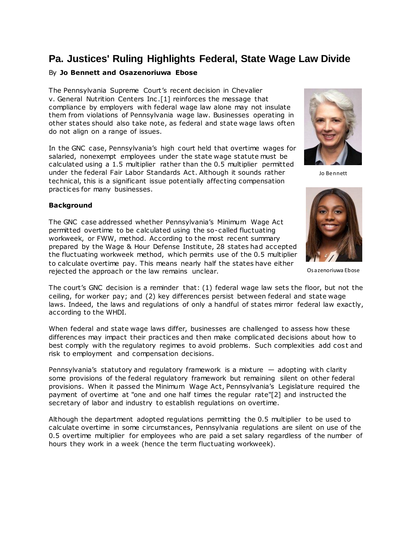# **Pa. Justices' Ruling Highlights Federal, State Wage Law Divide**

## By **Jo Bennett and Osazenoriuwa Ebose**

The [Pennsylvania Supreme Court](https://www.law360.com/agencies/pennsylvania-supreme-court)'s recent decision in Chevalier v. [General Nutrition Centers Inc.](https://www.law360.com/companies/gnc-corp)[1] reinforces the message that compliance by employers with federal wage law alone may not insulate them from violations of Pennsylvania wage law. Businesses operating in other states should also take note, as federal and state wage laws often do not align on a range of issues.

In the GNC case, Pennsylvania's high court held that overtime wages for salaried, nonexempt employees under the state wage statute must be calculated using a 1.5 multiplier rather than the 0.5 multiplier permitted under the federal Fair Labor Standards Act. Although it sounds rather technical, this is a significant issue potentially affecting compensation practices for many businesses.

#### **Background**

The GNC case addressed whether Pennsylvania's Minimum Wage Act permitted overtime to be calculated using the so-called fluctuating workweek, or FWW, method. According to the most recent summary prepared by the Wage & Hour Defense Institute, 28 states had accepted the fluctuating workweek method, which permits use of the 0.5 multiplier to calculate overtime pay. This means nearly half the states have either rejected the approach or the law remains unclear.



Jo Bennett



Osazenoriuwa Ebose

The court's GNC decision is a reminder that: (1) federal wage law sets the floor, but not the ceiling, for worker pay; and (2) key differences persist between federal and state wage laws. Indeed, the laws and regulations of only a handful of states mirror federal law exactly, according to the WHDI.

When federal and state wage laws differ, businesses are challenged to assess how these differences may impact their practices and then make complicated decisions about how to best comply with the regulatory regimes to avoid problems. Such complexities add cost and risk to employment and compensation decisions.

Pennsylvania's statutory and regulatory framework is a mixture  $-$  adopting with clarity some provisions of the federal regulatory framework but remaining silent on other federal provisions. When it passed the Minimum Wage Act, Pennsylvania's Legislature required the payment of overtime at "one and one half times the regular rate"[2] and instructed the secretary of labor and industry to establish regulations on overtime.

Although the department adopted regulations permitting the 0.5 multiplier to be used to calculate overtime in some circumstances, Pennsylvania regulations are silent on use of the 0.5 overtime multiplier for employees who are paid a set salary regardless of the number of hours they work in a week (hence the term fluctuating workweek).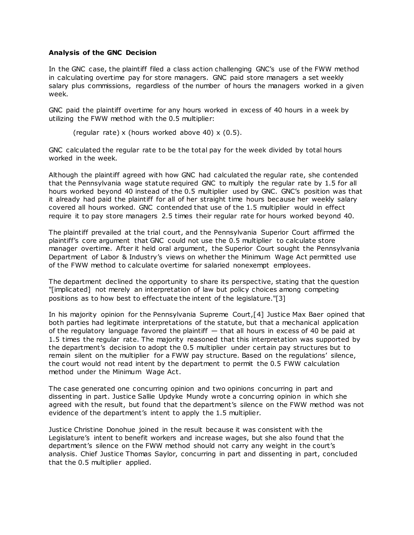#### **Analysis of the GNC Decision**

In the GNC case, the plaintiff filed a class action challenging GNC's use of the FWW method in calculating overtime pay for store managers. GNC paid store managers a set weekly salary plus commissions, regardless of the number of hours the managers worked in a given week.

GNC paid the plaintiff overtime for any hours worked in excess of 40 hours in a week by utilizing the FWW method with the 0.5 multiplier:

(regular rate) x (hours worked above 40) x  $(0.5)$ .

GNC calculated the regular rate to be the total pay for the week divided by total hours worked in the week.

Although the plaintiff agreed with how GNC had calculated the regular rate, she contended that the Pennsylvania wage statute required GNC to multiply the regular rate by 1.5 for all hours worked beyond 40 instead of the 0.5 multiplier used by GNC. GNC's position was that it already had paid the plaintiff for all of her straight time hours because her weekly salary covered all hours worked. GNC contended that use of the 1.5 multiplier would in effect require it to pay store managers 2.5 times their regular rate for hours worked beyond 40.

The plaintiff prevailed at the trial court, and the Pennsylvania Superior Court affirmed the plaintiff's core argument that GNC could not use the 0.5 multiplier to calculate store manager overtime. After it held oral argument, the Superior Court sought the [Pennsylvania](https://www.law360.com/agencies/pennsylvania-department-of-labor-industry)  [Department of Labor & Industry](https://www.law360.com/agencies/pennsylvania-department-of-labor-industry)'s views on whether the Minimum Wage Act permitted use of the FWW method to calculate overtime for salaried nonexempt employees.

The department declined the opportunity to share its perspective, stating that the question "[implicated] not merely an interpretation of law but policy choices among competing positions as to how best to effectuate the intent of the legislature."[3]

In his majority opinion for the Pennsylvania Supreme Court,[4] Justice Max Baer opined that both parties had legitimate interpretations of the statute, but that a mechanical application of the regulatory language favored the plaintiff  $-$  that all hours in excess of 40 be paid at 1.5 times the regular rate. The majority reasoned that this interpretation was supported by the department's decision to adopt the 0.5 multiplier under certain pay structures but to remain silent on the multiplier for a FWW pay structure. Based on the regulations' silence, the court would not read intent by the department to permit the 0.5 FWW calculation method under the Minimum Wage Act.

The case generated one concurring opinion and two opinions concurring in part and dissenting in part. Justice Sallie Updyke Mundy wrote a concurring opinion in which she agreed with the result, but found that the department's silence on the FWW method was not evidence of the department's intent to apply the 1.5 multiplier.

Justice Christine Donohue joined in the result because it was consistent with the Legislature's intent to benefit workers and increase wages, but she also found that the department's silence on the FWW method should not carry any weight in the court's analysis. Chief Justice Thomas Saylor, concurring in part and dissenting in part, concluded that the 0.5 multiplier applied.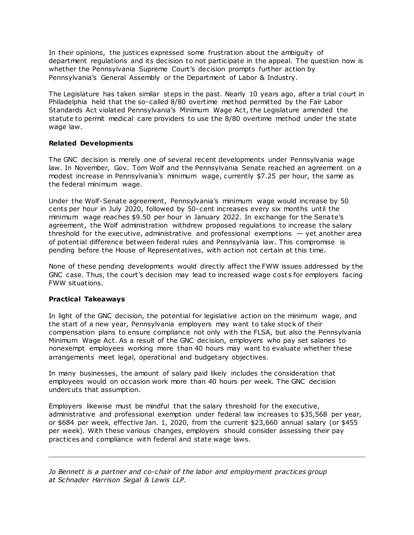In their opinions, the justices expressed some frustration about the ambiguity of department regulations and its decision to not participate in the appeal. The question now is whether the Pennsylvania Supreme Court's decision prompts further action by Pennsylvania's General Assembly or the Department of Labor & Industry.

The Legislature has taken similar steps in the past. Nearly 10 years ago, after a trial court in Philadelphia held that the so-called 8/80 overtime method permitted by the Fair Labor Standards Act violated Pennsylvania's Minimum Wage Act, the Legislature amended the statute to permit medical care providers to use the 8/80 overtime method under the state wage law.

## **Related Developments**

The GNC decision is merely one of several recent developments under Pennsylvania wage law. In November, Gov. Tom Wolf and the Pennsylvania Senate reached an agreement on a modest increase in Pennsylvania's minimum wage, currently \$7.25 per hour, the same as the federal minimum wage.

Under the Wolf-Senate agreement, Pennsylvania's minimum wage would increase by 50 cents per hour in July 2020, followed by 50-cent increases every six months until the minimum wage reaches \$9.50 per hour in January 2022. In exchange for the Senate's agreement, the Wolf administration withdrew proposed regulations to increase the salary threshold for the executive, administrative and professional exemptions  $-$  yet another area of potential difference between federal rules and Pennsylvania law. This compromise is pending before the House of Representatives, with action not certain at this time.

None of these pending developments would directly affect the FWW issues addressed by the GNC case. Thus, the court's decision may lead to increased wage cost s for employers facing FWW situations.

## **Practical Takeaways**

In light of the GNC decision, the potential for legislative action on the minimum wage, and the start of a new year, Pennsylvania employers may want to take stock of their compensation plans to ensure compliance not only with the FLSA, but also the Pennsylvania Minimum Wage Act. As a result of the GNC decision, employers who pay set salaries to nonexempt employees working more than 40 hours may want to evaluate whether these arrangements meet legal, operational and budgetary objectives.

In many businesses, the amount of salary paid likely includes the consideration that employees would on occasion work more than 40 hours per week. The GNC decision undercuts that assumption.

Employers likewise must be mindful that the salary threshold for the executive, administrative and professional exemption under federal law increases to \$35,568 per year, or \$684 per week, effective Jan. 1, 2020, from the current \$23,660 annual salary (or \$455 per week). With these various changes, employers should consider assessing their pay practices and compliance with federal and state wage laws.

*[Jo Bennett](https://www.schnader.com/attorneys/jo-bennett/) is a partner and co-chair of the labor and employment practices group at [Schnader Harrison Segal & Lewis LLP.](https://www.law360.com/firms/schnader-harrison)*